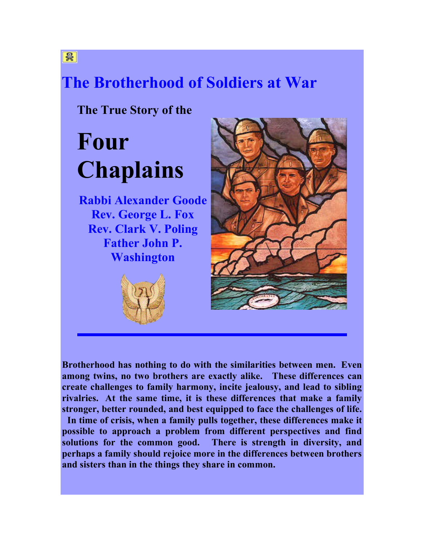### **The Brotherhood of Soldiers at War**

**The True Story of the**

# **Four Chaplains**

**Rabbi Alexander Goode Rev. George L. Fox Rev. Clark V. Poling Father John P. Washington**





**Brotherhood has nothing to do with the similarities between men. Even among twins, no two brothers are exactly alike. These differences can create challenges to family harmony, incite jealousy, and lead to sibling rivalries. At the same time, it is these differences that make a family stronger, better rounded, and best equipped to face the challenges of life. In time of crisis, when a family pulls together, these differences make it possible to approach a problem from different perspectives and find solutions for the common good. There is strength in diversity, and perhaps a family should rejoice more in the differences between brothers and sisters than in the things they share in common.**

鲁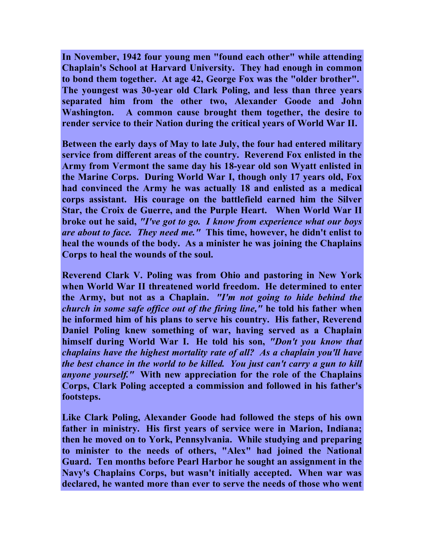**In November, 1942 four young men "found each other" while attending Chaplain's School at Harvard University. They had enough in common to bond them together. At age 42, George Fox was the "older brother". The youngest was 30-year old Clark Poling, and less than three years separated him from the other two, Alexander Goode and John Washington. A common cause brought them together, the desire to render service to their Nation during the critical years of World War II.**

**Between the early days of May to late July, the four had entered military service from different areas of the country. Reverend Fox enlisted in the Army from Vermont the same day his 18-year old son Wyatt enlisted in the Marine Corps. During World War I, though only 17 years old, Fox had convinced the Army he was actually 18 and enlisted as a medical corps assistant. His courage on the battlefield earned him the Silver Star, the Croix de Guerre, and the Purple Heart. When World War II broke out he said,** *"I've got to go. I know from experience what our boys are about to face. They need me."* **This time, however, he didn't enlist to heal the wounds of the body. As a minister he was joining the Chaplains Corps to heal the wounds of the soul.**

**Reverend Clark V. Poling was from Ohio and pastoring in New York when World War II threatened world freedom. He determined to enter the Army, but not as a Chaplain.** *"I'm not going to hide behind the church in some safe office out of the firing line,"* **he told his father when he informed him of his plans to serve his country. His father, Reverend Daniel Poling knew something of war, having served as a Chaplain himself during World War I. He told his son,** *"Don't you know that chaplains have the highest mortality rate of all? As a chaplain you'll have the best chance in the world to be killed. You just can't carry a gun to kill anyone yourself."* **With new appreciation for the role of the Chaplains Corps, Clark Poling accepted a commission and followed in his father's footsteps.**

**Like Clark Poling, Alexander Goode had followed the steps of his own father in ministry. His first years of service were in Marion, Indiana; then he moved on to York, Pennsylvania. While studying and preparing to minister to the needs of others, "Alex" had joined the National Guard. Ten months before Pearl Harbor he sought an assignment in the Navy's Chaplains Corps, but wasn't initially accepted. When war was declared, he wanted more than ever to serve the needs of those who went**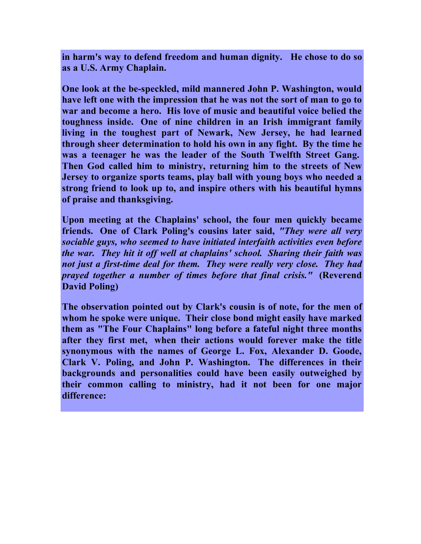**in harm's way to defend freedom and human dignity. He chose to do so as a U.S. Army Chaplain.**

**One look at the be-speckled, mild mannered John P. Washington, would have left one with the impression that he was not the sort of man to go to war and become a hero. His love of music and beautiful voice belied the toughness inside. One of nine children in an Irish immigrant family living in the toughest part of Newark, New Jersey, he had learned through sheer determination to hold his own in any fight. By the time he was a teenager he was the leader of the South Twelfth Street Gang. Then God called him to ministry, returning him to the streets of New Jersey to organize sports teams, play ball with young boys who needed a strong friend to look up to, and inspire others with his beautiful hymns of praise and thanksgiving.**

**Upon meeting at the Chaplains' school, the four men quickly became friends. One of Clark Poling's cousins later said,** *"They were all very sociable guys, who seemed to have initiated interfaith activities even before the war. They hit it off well at chaplains' school. Sharing their faith was not just a first-time deal for them. They were really very close. They had prayed together a number of times before that final crisis."* **(Reverend David Poling)**

**The observation pointed out by Clark's cousin is of note, for the men of whom he spoke were unique. Their close bond might easily have marked them as "The Four Chaplains" long before a fateful night three months after they first met, when their actions would forever make the title synonymous with the names of George L. Fox, Alexander D. Goode, Clark V. Poling, and John P. Washington. The differences in their backgrounds and personalities could have been easily outweighed by their common calling to ministry, had it not been for one major difference:**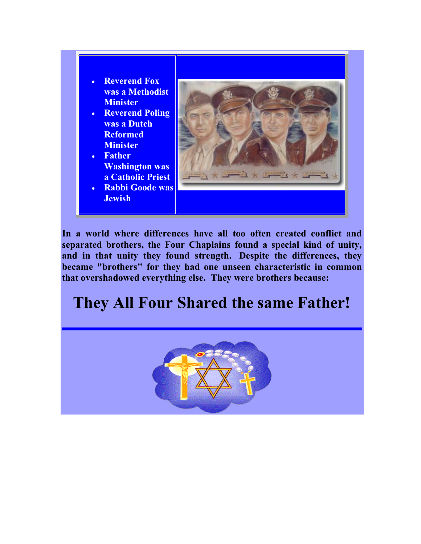- **Reverend Fox was a Methodist Minister**
- **Reverend Poling was a Dutch Reformed Minister**
- **Father Washington was a Catholic Priest**
- **Rabbi Goode was Jewish**



**In a world where differences have all too often created conflict and separated brothers, the Four Chaplains found a special kind of unity, and in that unity they found strength. Despite the differences, they became "brothers" for they had one unseen characteristic in common that overshadowed everything else. They were brothers because:**

## **They All Four Shared the same Father!**

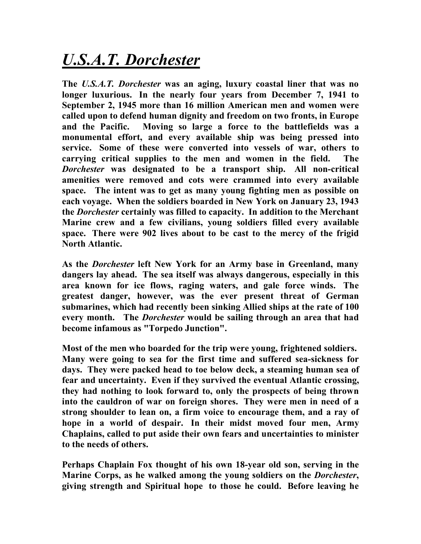## *U.S.A.T. Dorchester*

**The** *U.S.A.T. Dorchester* **was an aging, luxury coastal liner that was no longer luxurious. In the nearly four years from December 7, 1941 to September 2, 1945 more than 16 million American men and women were called upon to defend human dignity and freedom on two fronts, in Europe and the Pacific. Moving so large a force to the battlefields was a monumental effort, and every available ship was being pressed into service. Some of these were converted into vessels of war, others to carrying critical supplies to the men and women in the field. The**  *Dorchester* **was designated to be a transport ship. All non-critical amenities were removed and cots were crammed into every available space. The intent was to get as many young fighting men as possible on each voyage. When the soldiers boarded in New York on January 23, 1943 the** *Dorchester* **certainly was filled to capacity. In addition to the Merchant Marine crew and a few civilians, young soldiers filled every available space. There were 902 lives about to be cast to the mercy of the frigid North Atlantic.**

**As the** *Dorchester* **left New York for an Army base in Greenland, many dangers lay ahead. The sea itself was always dangerous, especially in this area known for ice flows, raging waters, and gale force winds. The greatest danger, however, was the ever present threat of German submarines, which had recently been sinking Allied ships at the rate of 100 every month. The** *Dorchester* **would be sailing through an area that had become infamous as "Torpedo Junction".**

**Most of the men who boarded for the trip were young, frightened soldiers. Many were going to sea for the first time and suffered sea-sickness for days. They were packed head to toe below deck, a steaming human sea of fear and uncertainty. Even if they survived the eventual Atlantic crossing, they had nothing to look forward to, only the prospects of being thrown into the cauldron of war on foreign shores. They were men in need of a strong shoulder to lean on, a firm voice to encourage them, and a ray of hope in a world of despair. In their midst moved four men, Army Chaplains, called to put aside their own fears and uncertainties to minister to the needs of others.**

**Perhaps Chaplain Fox thought of his own 18-year old son, serving in the Marine Corps, as he walked among the young soldiers on the** *Dorchester***, giving strength and Spiritual hope to those he could. Before leaving he**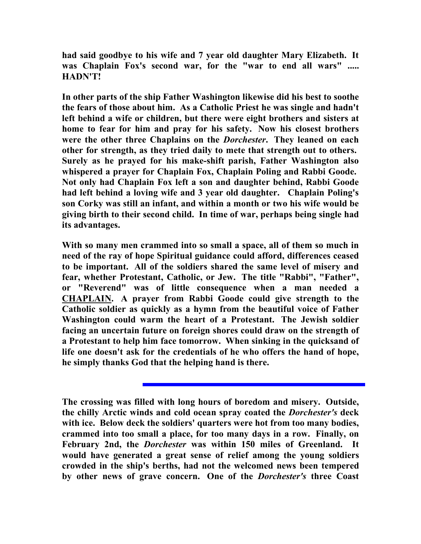**had said goodbye to his wife and 7 year old daughter Mary Elizabeth. It was Chaplain Fox's second war, for the "war to end all wars" ..... HADN'T!**

**In other parts of the ship Father Washington likewise did his best to soothe the fears of those about him. As a Catholic Priest he was single and hadn't left behind a wife or children, but there were eight brothers and sisters at home to fear for him and pray for his safety. Now his closest brothers were the other three Chaplains on the** *Dorchester***. They leaned on each other for strength, as they tried daily to mete that strength out to others. Surely as he prayed for his make-shift parish, Father Washington also whispered a prayer for Chaplain Fox, Chaplain Poling and Rabbi Goode. Not only had Chaplain Fox left a son and daughter behind, Rabbi Goode had left behind a loving wife and 3 year old daughter. Chaplain Poling's son Corky was still an infant, and within a month or two his wife would be giving birth to their second child. In time of war, perhaps being single had its advantages.**

**With so many men crammed into so small a space, all of them so much in need of the ray of hope Spiritual guidance could afford, differences ceased to be important. All of the soldiers shared the same level of misery and fear, whether Protestant, Catholic, or Jew. The title "Rabbi", "Father", or "Reverend" was of little consequence when a man needed a CHAPLAIN. A prayer from Rabbi Goode could give strength to the Catholic soldier as quickly as a hymn from the beautiful voice of Father Washington could warm the heart of a Protestant. The Jewish soldier facing an uncertain future on foreign shores could draw on the strength of a Protestant to help him face tomorrow. When sinking in the quicksand of life one doesn't ask for the credentials of he who offers the hand of hope, he simply thanks God that the helping hand is there.**

**The crossing was filled with long hours of boredom and misery. Outside, the chilly Arctic winds and cold ocean spray coated the** *Dorchester's* **deck with ice. Below deck the soldiers' quarters were hot from too many bodies, crammed into too small a place, for too many days in a row. Finally, on February 2nd, the** *Dorchester* **was within 150 miles of Greenland. It would have generated a great sense of relief among the young soldiers crowded in the ship's berths, had not the welcomed news been tempered by other news of grave concern. One of the** *Dorchester's* **three Coast**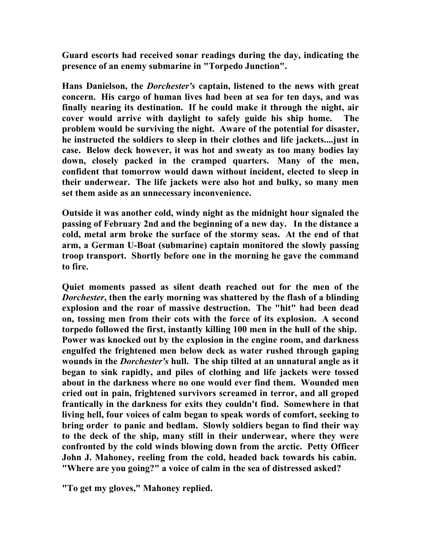**Guard escorts had received sonar readings during the day, indicating the presence of an enemy submarine in "Torpedo Junction".**

**Hans Danielson, the** *Dorchester's* **captain, listened to the news with great concern. His cargo of human lives had been at sea for ten days, and was finally nearing its destination. If he could make it through the night, air cover would arrive with daylight to safely guide his ship home. The problem would be surviving the night. Aware of the potential for disaster, he instructed the soldiers to sleep in their clothes and life jackets....just in case. Below deck however, it was hot and sweaty as too many bodies lay down, closely packed in the cramped quarters. Many of the men, confident that tomorrow would dawn without incident, elected to sleep in their underwear. The life jackets were also hot and bulky, so many men set them aside as an unnecessary inconvenience.**

**Outside it was another cold, windy night as the midnight hour signaled the passing of February 2nd and the beginning of a new day. In the distance a cold, metal arm broke the surface of the stormy seas. At the end of that arm, a German U-Boat (submarine) captain monitored the slowly passing troop transport. Shortly before one in the morning he gave the command to fire.**

**Quiet moments passed as silent death reached out for the men of the**  *Dorchester***, then the early morning was shattered by the flash of a blinding explosion and the roar of massive destruction. The "hit" had been dead on, tossing men from their cots with the force of its explosion. A second torpedo followed the first, instantly killing 100 men in the hull of the ship. Power was knocked out by the explosion in the engine room, and darkness engulfed the frightened men below deck as water rushed through gaping wounds in the** *Dorchester's* **hull. The ship tilted at an unnatural angle as it began to sink rapidly, and piles of clothing and life jackets were tossed about in the darkness where no one would ever find them. Wounded men cried out in pain, frightened survivors screamed in terror, and all groped frantically in the darkness for exits they couldn't find. Somewhere in that living hell, four voices of calm began to speak words of comfort, seeking to bring order to panic and bedlam. Slowly soldiers began to find their way to the deck of the ship, many still in their underwear, where they were confronted by the cold winds blowing down from the arctic. Petty Officer John J. Mahoney, reeling from the cold, headed back towards his cabin. "Where are you going?" a voice of calm in the sea of distressed asked?**

**"To get my gloves," Mahoney replied.**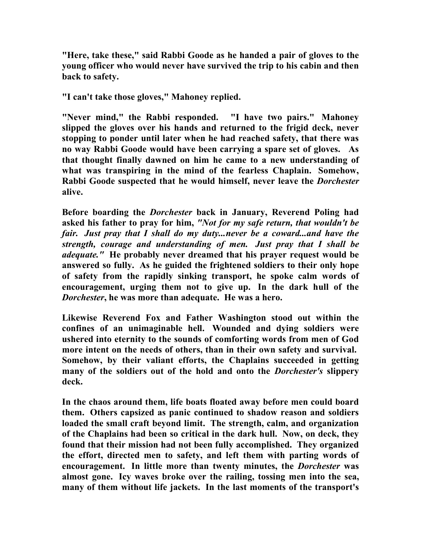**"Here, take these," said Rabbi Goode as he handed a pair of gloves to the young officer who would never have survived the trip to his cabin and then back to safety.**

**"I can't take those gloves," Mahoney replied.**

**"Never mind," the Rabbi responded. "I have two pairs." Mahoney slipped the gloves over his hands and returned to the frigid deck, never stopping to ponder until later when he had reached safety, that there was no way Rabbi Goode would have been carrying a spare set of gloves. As that thought finally dawned on him he came to a new understanding of what was transpiring in the mind of the fearless Chaplain. Somehow, Rabbi Goode suspected that he would himself, never leave the** *Dorchester* **alive.**

**Before boarding the** *Dorchester* **back in January, Reverend Poling had asked his father to pray for him,** *"Not for my safe return, that wouldn't be fair. Just pray that I shall do my duty...never be a coward...and have the strength, courage and understanding of men. Just pray that I shall be adequate."* **He probably never dreamed that his prayer request would be answered so fully. As he guided the frightened soldiers to their only hope of safety from the rapidly sinking transport, he spoke calm words of encouragement, urging them not to give up. In the dark hull of the**  *Dorchester***, he was more than adequate. He was a hero.**

**Likewise Reverend Fox and Father Washington stood out within the confines of an unimaginable hell. Wounded and dying soldiers were ushered into eternity to the sounds of comforting words from men of God more intent on the needs of others, than in their own safety and survival. Somehow, by their valiant efforts, the Chaplains succeeded in getting many of the soldiers out of the hold and onto the** *Dorchester's* **slippery deck.**

**In the chaos around them, life boats floated away before men could board them. Others capsized as panic continued to shadow reason and soldiers loaded the small craft beyond limit. The strength, calm, and organization of the Chaplains had been so critical in the dark hull. Now, on deck, they found that their mission had not been fully accomplished. They organized the effort, directed men to safety, and left them with parting words of encouragement. In little more than twenty minutes, the** *Dorchester* **was almost gone. Icy waves broke over the railing, tossing men into the sea, many of them without life jackets. In the last moments of the transport's**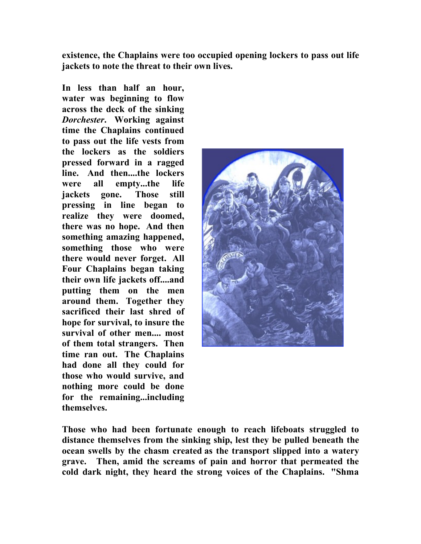**existence, the Chaplains were too occupied opening lockers to pass out life jackets to note the threat to their own lives.**

**In less than half an hour, water was beginning to flow across the deck of the sinking**  *Dorchester***. Working against time the Chaplains continued to pass out the life vests from the lockers as the soldiers pressed forward in a ragged line. And then....the lockers were all empty...the life jackets gone. Those still pressing in line began to realize they were doomed, there was no hope. And then something amazing happened, something those who were there would never forget. All Four Chaplains began taking their own life jackets off....and putting them on the men around them. Together they sacrificed their last shred of hope for survival, to insure the survival of other men.... most of them total strangers. Then time ran out. The Chaplains had done all they could for those who would survive, and nothing more could be done for the remaining...including themselves.**



**Those who had been fortunate enough to reach lifeboats struggled to distance themselves from the sinking ship, lest they be pulled beneath the ocean swells by the chasm created as the transport slipped into a watery grave. Then, amid the screams of pain and horror that permeated the cold dark night, they heard the strong voices of the Chaplains. "Shma**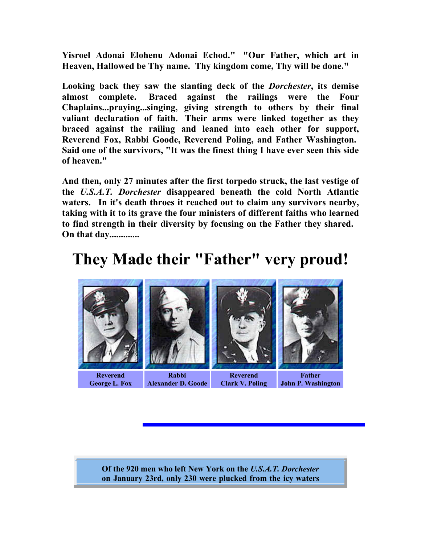**Yisroel Adonai Elohenu Adonai Echod." "Our Father, which art in Heaven, Hallowed be Thy name. Thy kingdom come, Thy will be done."**

**Looking back they saw the slanting deck of the** *Dorchester***, its demise almost complete. Braced against the railings were the Four Chaplains...praying...singing, giving strength to others by their final valiant declaration of faith. Their arms were linked together as they braced against the railing and leaned into each other for support, Reverend Fox, Rabbi Goode, Reverend Poling, and Father Washington. Said one of the survivors, "It was the finest thing I have ever seen this side of heaven."**

**And then, only 27 minutes after the first torpedo struck, the last vestige of the** *U.S.A.T. Dorchester* **disappeared beneath the cold North Atlantic waters. In it's death throes it reached out to claim any survivors nearby, taking with it to its grave the four ministers of different faiths who learned to find strength in their diversity by focusing on the Father they shared. On that day.............**

#### **They Made their "Father" very proud!**



**Of the 920 men who left New York on the** *U.S.A.T. Dorchester* **on January 23rd, only 230 were plucked from the icy waters**